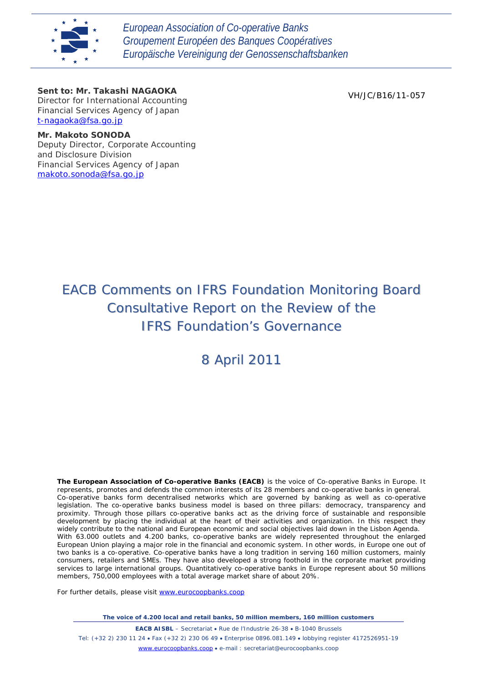

*European Association of Co-operative Banks Groupement Européen des Banques Coopératives Europäische Vereinigung der Genossenschaftsbanken*

## *Sent to: Mr. Takashi NAGAOKA*

*Director for International Accounting Financial Services Agency of Japan t-nagaoka@fsa.go.jp*

VH/JC/B16/11-057

#### *Mr. Makoto SONODA*

*Deputy Director, Corporate Accounting and Disclosure Division Financial Services Agency of Japan makoto.sonoda@fsa.go.jp*

# EACB Comments on IFRS Foundation Monitoring Board Consultative Report on the Review of the IFRS Foundation's Governance

# 8 April 2011

**The European Association of Co-operative Banks (EACB)** is the voice of Co-operative Banks in Europe. It represents, promotes and defends the common interests of its 28 members and co-operative banks in general. Co-operative banks form decentralised networks which are governed by banking as well as co-operative legislation. The co-operative banks business model is based on three pillars: democracy, transparency and proximity. Through those pillars co-operative banks act as the driving force of sustainable and responsible development by placing the individual at the heart of their activities and organization. In this respect they widely contribute to the national and European economic and social objectives laid down in the Lisbon Agenda. With 63.000 outlets and 4.200 banks, co-operative banks are widely represented throughout the enlarged European Union playing a major role in the financial and economic system. In other words, in Europe one out of two banks is a co-operative. Co-operative banks have a long tradition in serving 160 million customers, mainly consumers, retailers and SMEs. They have also developed a strong foothold in the corporate market providing services to large international groups. Quantitatively co-operative banks in Europe represent about 50 millions members, 750,000 employees with a total average market share of about 20%.

For further details, please visit [www.eurocoopbanks.coop](http://www.eurocoopbanks.coop/)

*The voice of 4.200 local and retail banks, 50 million members, 160 million customers*

**EACB AISBL** – Secretariat • Rue de l'Industrie 26-38 • B-1040 Brussels Tel: (+32 2) 230 11 24 • Fax (+32 2) 230 06 49 • Enterprise 0896.081.149 • lobbying register 4172526951-19 [www.eurocoopbanks.coop](http://www.eurocoopbanks.coop/) • e-mail : secretariat@eurocoopbanks.coop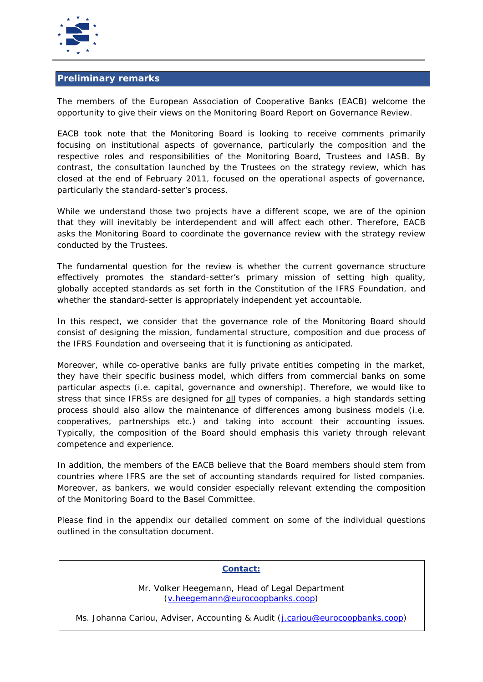

# **Preliminary remarks**

The members of the European Association of Cooperative Banks (EACB) welcome the opportunity to give their views on the Monitoring Board Report on Governance Review.

EACB took note that the Monitoring Board is looking to receive comments primarily focusing on institutional aspects of governance, particularly the composition and the respective roles and responsibilities of the Monitoring Board, Trustees and IASB. By contrast, the consultation launched by the Trustees on the strategy review, which has closed at the end of February 2011, focused on the operational aspects of governance, particularly the standard-setter's process.

While we understand those two projects have a different scope, we are of the opinion that they will inevitably be interdependent and will affect each other. Therefore, EACB asks the Monitoring Board to coordinate the governance review with the strategy review conducted by the Trustees.

The fundamental question for the review is whether the current governance structure effectively promotes the standard-setter's primary mission of setting high quality, globally accepted standards as set forth in the Constitution of the IFRS Foundation, and whether the standard-setter is appropriately independent yet accountable.

In this respect, we consider that the governance role of the Monitoring Board should consist of designing the mission, fundamental structure, composition and due process of the IFRS Foundation and overseeing that it is functioning as anticipated.

Moreover, while co-operative banks are fully private entities competing in the market, they have their specific business model, which differs from commercial banks on some particular aspects (i.e. capital, governance and ownership). Therefore, we would like to stress that since IFRSs are designed for <u>all</u> types of companies, a high standards setting process should also allow the maintenance of differences among business models (i.e. cooperatives, partnerships etc.) and taking into account their accounting issues. Typically, the composition of the Board should emphasis this variety through relevant competence and experience.

In addition, the members of the EACB believe that the Board members should stem from countries where IFRS are the set of accounting standards required for listed companies. Moreover, as bankers, we would consider especially relevant extending the composition of the Monitoring Board to the Basel Committee.

Please find in the appendix our detailed comment on some of the individual questions outlined in the consultation document.

# **Contact:**

Mr. Volker Heegemann, Head of Legal Department [\(v.heegemann@eurocoopbanks.coop\)](mailto:v.heegemann@eurocoopbanks.coop)

Ms. Johanna Cariou, Adviser, Accounting & Audit [\(j.cariou@eurocoopbanks.coop\)](mailto:j.cariou@eurocoopbanks.coop)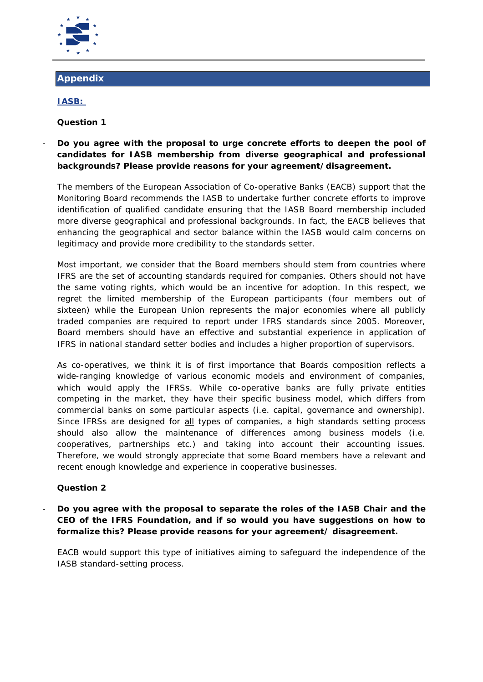

# **Appendix**

# **IASB:**

# *Question 1*

# - *Do you agree with the proposal to urge concrete efforts to deepen the pool of candidates for IASB membership from diverse geographical and professional backgrounds? Please provide reasons for your agreement/disagreement.*

The members of the European Association of Co-operative Banks (EACB) support that the Monitoring Board recommends the IASB to undertake further concrete efforts to improve identification of qualified candidate ensuring that the IASB Board membership included more diverse geographical and professional backgrounds. In fact, the EACB believes that enhancing the geographical and sector balance within the IASB would calm concerns on legitimacy and provide more credibility to the standards setter.

Most important, we consider that the Board members should stem from countries where IFRS are the set of accounting standards required for companies. Others should not have the same voting rights, which would be an incentive for adoption. In this respect, we regret the limited membership of the European participants (four members out of sixteen) while the European Union represents the major economies where all publicly traded companies are required to report under IFRS standards since 2005. Moreover, Board members should have an effective and substantial experience in application of IFRS in national standard setter bodies and includes a higher proportion of supervisors.

As co-operatives, we think it is of first importance that Boards composition reflects a wide-ranging knowledge of various economic models and environment of companies, which would apply the IFRSs. While co-operative banks are fully private entities competing in the market, they have their specific business model, which differs from commercial banks on some particular aspects (i.e. capital, governance and ownership). Since IFRSs are designed for **all** types of companies, a high standards setting process should also allow the maintenance of differences among business models (i.e. cooperatives, partnerships etc.) and taking into account their accounting issues. Therefore, we would strongly appreciate that some Board members have a relevant and recent enough knowledge and experience in cooperative businesses.

# *Question 2*

# - *Do you agree with the proposal to separate the roles of the IASB Chair and the CEO of the IFRS Foundation, and if so would you have suggestions on how to formalize this? Please provide reasons for your agreement/ disagreement.*

EACB would support this type of initiatives aiming to safeguard the independence of the IASB standard-setting process.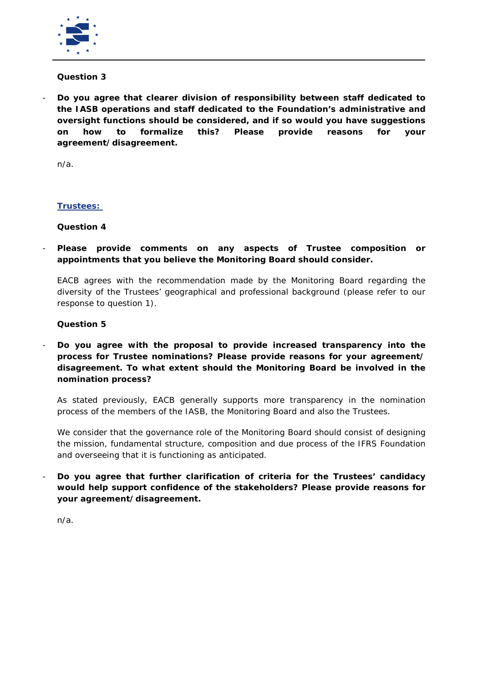

#### *Question 3*

- *Do you agree that clearer division of responsibility between staff dedicated to the IASB operations and staff dedicated to the Foundation's administrative and oversight functions should be considered, and if so would you have suggestions on how to formalize this? Please provide reasons for your agreement/disagreement.* 

n/a.

## **Trustees:**

## *Question 4*

- *Please provide comments on any aspects of Trustee composition or appointments that you believe the Monitoring Board should consider.* 

EACB agrees with the recommendation made by the Monitoring Board regarding the diversity of the Trustees' geographical and professional background (please refer to our response to question 1).

## *Question 5*

- *Do you agree with the proposal to provide increased transparency into the process for Trustee nominations? Please provide reasons for your agreement/ disagreement. To what extent should the Monitoring Board be involved in the nomination process?* 

As stated previously, EACB generally supports more transparency in the nomination process of the members of the IASB, the Monitoring Board and also the Trustees.

We consider that the governance role of the Monitoring Board should consist of designing the mission, fundamental structure, composition and due process of the IFRS Foundation and overseeing that it is functioning as anticipated.

- *Do you agree that further clarification of criteria for the Trustees' candidacy would help support confidence of the stakeholders? Please provide reasons for your agreement/disagreement.* 

n/a.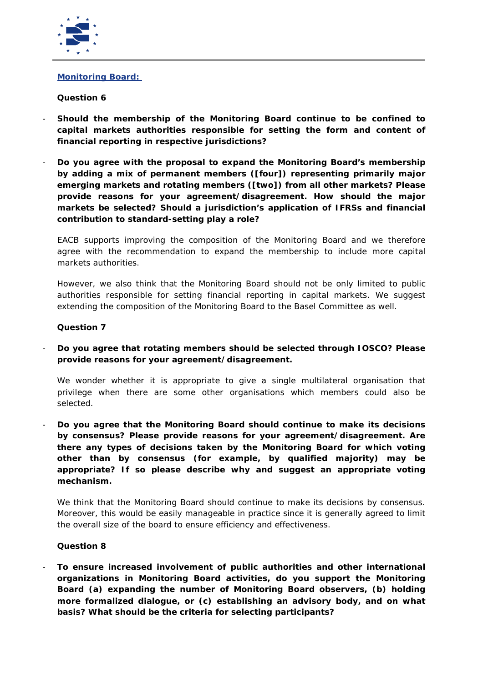

## **Monitoring Board:**

## *Question 6*

- *Should the membership of the Monitoring Board continue to be confined to capital markets authorities responsible for setting the form and content of financial reporting in respective jurisdictions?*
- *Do you agree with the proposal to expand the Monitoring Board's membership by adding a mix of permanent members ([four]) representing primarily major emerging markets and rotating members ([two]) from all other markets? Please provide reasons for your agreement/disagreement. How should the major markets be selected? Should a jurisdiction's application of IFRSs and financial contribution to standard-setting play a role?*

EACB supports improving the composition of the Monitoring Board and we therefore agree with the recommendation to expand the membership to include more capital markets authorities.

However, we also think that the Monitoring Board should not be only limited to public authorities responsible for setting financial reporting in capital markets. We suggest extending the composition of the Monitoring Board to the Basel Committee as well.

## *Question 7*

- *Do you agree that rotating members should be selected through IOSCO? Please provide reasons for your agreement/disagreement.*

We wonder whether it is appropriate to give a single multilateral organisation that privilege when there are some other organisations which members could also be selected*.* 

- *Do you agree that the Monitoring Board should continue to make its decisions by consensus? Please provide reasons for your agreement/disagreement. Are there any types of decisions taken by the Monitoring Board for which voting other than by consensus (for example, by qualified majority) may be appropriate? If so please describe why and suggest an appropriate voting mechanism.* 

*We think that the Monitoring Board should continue to make its decisions by consensus. Moreover, this would be easily manageable in practice since it is generally agreed to limit the overall size of the board to ensure efficiency and effectiveness.* 

#### *Question 8*

- *To ensure increased involvement of public authorities and other international organizations in Monitoring Board activities, do you support the Monitoring Board (a) expanding the number of Monitoring Board observers, (b) holding more formalized dialogue, or (c) establishing an advisory body, and on what basis? What should be the criteria for selecting participants?*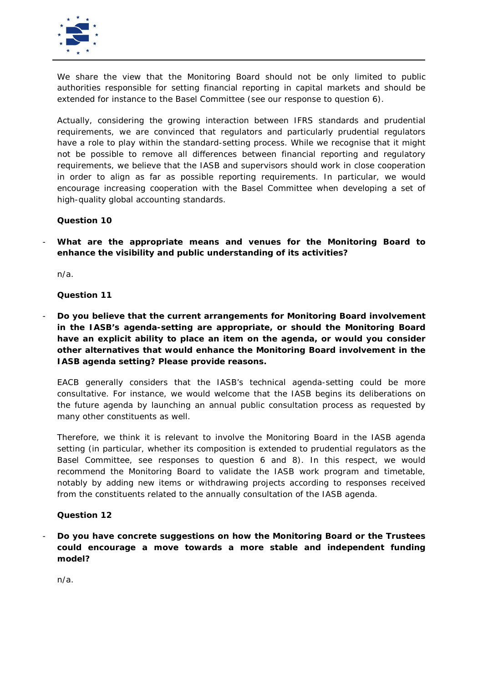

We share the view that the Monitoring Board should not be only limited to public authorities responsible for setting financial reporting in capital markets and should be extended for instance to the Basel Committee (see our response to question 6).

Actually, considering the growing interaction between IFRS standards and prudential requirements, we are convinced that regulators and particularly prudential regulators have a role to play within the standard-setting process. While we recognise that it might not be possible to remove all differences between financial reporting and regulatory requirements, we believe that the IASB and supervisors should work in close cooperation in order to align as far as possible reporting requirements. In particular, we would encourage increasing cooperation with the Basel Committee when developing a set of high-quality global accounting standards.

## *Question 10*

What are the appropriate means and venues for the Monitoring Board to *enhance the visibility and public understanding of its activities?* 

*n/a.*

*Question 11*

- *Do you believe that the current arrangements for Monitoring Board involvement in the IASB's agenda-setting are appropriate, or should the Monitoring Board have an explicit ability to place an item on the agenda, or would you consider other alternatives that would enhance the Monitoring Board involvement in the IASB agenda setting? Please provide reasons.* 

EACB generally considers that the IASB's technical agenda-setting could be more consultative. For instance, we would welcome that the IASB begins its deliberations on the future agenda by launching an annual public consultation process as requested by many other constituents as well.

Therefore, we think it is relevant to involve the Monitoring Board in the IASB agenda setting (in particular, whether its composition is extended to prudential regulators as the Basel Committee, see responses to question 6 and 8). In this respect, we would recommend the Monitoring Board to validate the IASB work program and timetable, notably by adding new items or withdrawing projects according to responses received from the constituents related to the annually consultation of the IASB agenda.

#### *Question 12*

- *Do you have concrete suggestions on how the Monitoring Board or the Trustees could encourage a move towards a more stable and independent funding model?*

*n/a.*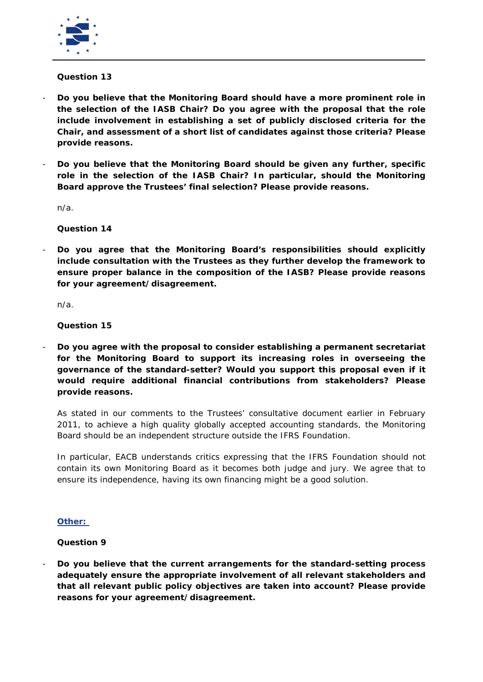

#### *Question 13*

- *Do you believe that the Monitoring Board should have a more prominent role in the selection of the IASB Chair? Do you agree with the proposal that the role include involvement in establishing a set of publicly disclosed criteria for the Chair, and assessment of a short list of candidates against those criteria? Please provide reasons.*
- *Do you believe that the Monitoring Board should be given any further, specific*  role in the selection of the IASB Chair? In particular, should the Monitoring *Board approve the Trustees' final selection? Please provide reasons.*

*n/a.* 

*Question 14*

- *Do you agree that the Monitoring Board's responsibilities should explicitly include consultation with the Trustees as they further develop the framework to ensure proper balance in the composition of the IASB? Please provide reasons for your agreement/disagreement.* 

*n/a.* 

*Question 15*

- *Do you agree with the proposal to consider establishing a permanent secretariat for the Monitoring Board to support its increasing roles in overseeing the governance of the standard-setter? Would you support this proposal even if it would require additional financial contributions from stakeholders? Please provide reasons.* 

As stated in our comments to the Trustees' consultative document earlier in February 2011, to achieve a high quality globally accepted accounting standards, the Monitoring Board should be an independent structure outside the IFRS Foundation.

In particular, EACB understands critics expressing that the IFRS Foundation should not contain its own Monitoring Board as it becomes both judge and jury. We agree that to ensure its independence, having its own financing might be a good solution.

#### **Other:**

*Question 9*

- *Do you believe that the current arrangements for the standard-setting process adequately ensure the appropriate involvement of all relevant stakeholders and that all relevant public policy objectives are taken into account? Please provide reasons for your agreement/disagreement.*